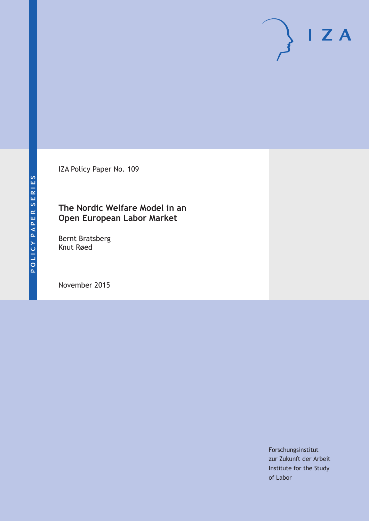IZA Policy Paper No. 109

# **The Nordic Welfare Model in an Open European Labor Market**

Bernt Bratsberg Knut Røed

November 2015

Forschungsinstitut zur Zukunft der Arbeit Institute for the Study of Labor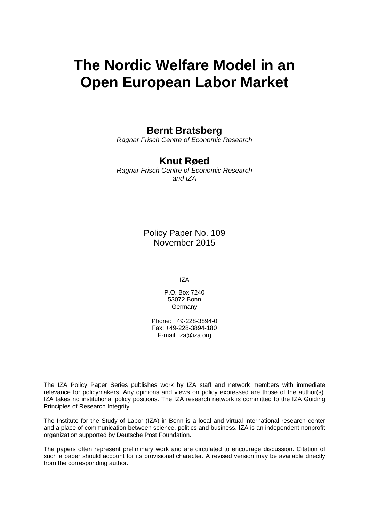# **The Nordic Welfare Model in an Open European Labor Market**

# **Bernt Bratsberg**

*Ragnar Frisch Centre of Economic Research* 

# **Knut Røed**

*Ragnar Frisch Centre of Economic Research and IZA* 

> Policy Paper No. 109 November 2015

> > IZA

P.O. Box 7240 53072 Bonn Germany

Phone: +49-228-3894-0 Fax: +49-228-3894-180 E-mail: iza@iza.org

The IZA Policy Paper Series publishes work by IZA staff and network members with immediate relevance for policymakers. Any opinions and views on policy expressed are those of the author(s). IZA takes no institutional policy positions. The IZA research network is committed to the IZA Guiding Principles of Research Integrity.

The Institute for the Study of Labor (IZA) in Bonn is a local and virtual international research center and a place of communication between science, politics and business. IZA is an independent nonprofit organization supported by Deutsche Post Foundation.

The papers often represent preliminary work and are circulated to encourage discussion. Citation of such a paper should account for its provisional character. A revised version may be available directly from the corresponding author.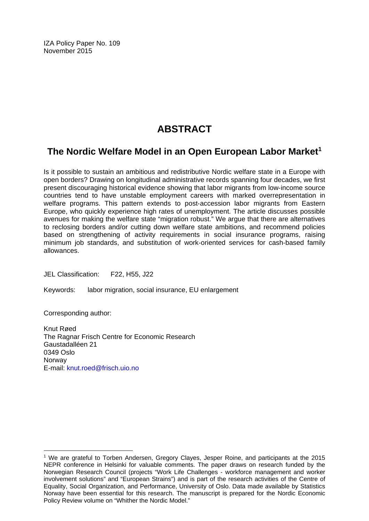IZA Policy Paper No. 109 November 2015

# **ABSTRACT**

# **The Nordic Welfare Model in an Open European Labor Market1**

Is it possible to sustain an ambitious and redistributive Nordic welfare state in a Europe with open borders? Drawing on longitudinal administrative records spanning four decades, we first present discouraging historical evidence showing that labor migrants from low‐income source countries tend to have unstable employment careers with marked overrepresentation in welfare programs. This pattern extends to post-accession labor migrants from Eastern Europe, who quickly experience high rates of unemployment. The article discusses possible avenues for making the welfare state "migration robust." We argue that there are alternatives to reclosing borders and/or cutting down welfare state ambitions, and recommend policies based on strengthening of activity requirements in social insurance programs, raising minimum job standards, and substitution of work-oriented services for cash-based family allowances.

JEL Classification: F22, H55, J22

Keywords: labor migration, social insurance, EU enlargement

Corresponding author:

 $\overline{\phantom{a}}$ 

Knut Røed The Ragnar Frisch Centre for Economic Research Gaustadalléen 21 0349 Oslo Norway E-mail: knut.roed@frisch.uio.no

<sup>1</sup> We are grateful to Torben Andersen, Gregory Clayes, Jesper Roine, and participants at the 2015 NEPR conference in Helsinki for valuable comments. The paper draws on research funded by the Norwegian Research Council (projects "Work Life Challenges ‐ workforce management and worker involvement solutions" and "European Strains") and is part of the research activities of the Centre of Equality, Social Organization, and Performance, University of Oslo. Data made available by Statistics Norway have been essential for this research. The manuscript is prepared for the Nordic Economic Policy Review volume on "Whither the Nordic Model."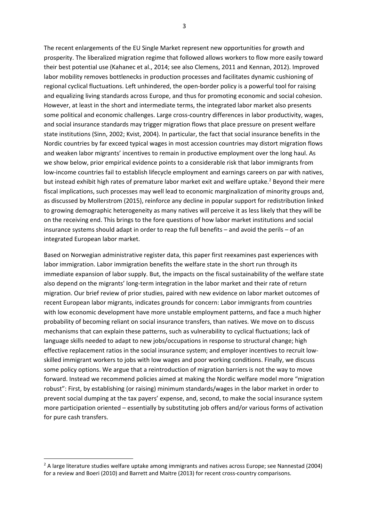The recent enlargements of the EU Single Market represent new opportunities for growth and prosperity. The liberalized migration regime that followed allows workers to flow more easily toward their best potential use (Kahanec et al., 2014; see also Clemens, 2011 and Kennan, 2012). Improved labor mobility removes bottlenecks in production processes and facilitates dynamic cushioning of regional cyclical fluctuations. Left unhindered, the open‐border policy is a powerful tool for raising and equalizing living standards across Europe, and thus for promoting economic and social cohesion. However, at least in the short and intermediate terms, the integrated labor market also presents some political and economic challenges. Large cross‐country differences in labor productivity, wages, and social insurance standards may trigger migration flows that place pressure on present welfare state institutions (Sinn, 2002; Kvist, 2004). In particular, the fact that social insurance benefits in the Nordic countries by far exceed typical wages in most accession countries may distort migration flows and weaken labor migrants' incentives to remain in productive employment over the long haul. As we show below, prior empirical evidence points to a considerable risk that labor immigrants from low-income countries fail to establish lifecycle employment and earnings careers on par with natives, but instead exhibit high rates of premature labor market exit and welfare uptake.<sup>2</sup> Beyond their mere fiscal implications, such processes may well lead to economic marginalization of minority groups and, as discussed by Mollerstrom (2015), reinforce any decline in popular support for redistribution linked to growing demographic heterogeneity as many natives will perceive it as less likely that they will be on the receiving end. This brings to the fore questions of how labor market institutions and social insurance systems should adapt in order to reap the full benefits – and avoid the perils – of an integrated European labor market.

Based on Norwegian administrative register data, this paper first reexamines past experiences with labor immigration. Labor immigration benefits the welfare state in the short run through its immediate expansion of labor supply. But, the impacts on the fiscal sustainability of the welfare state also depend on the migrants' long-term integration in the labor market and their rate of return migration. Our brief review of prior studies, paired with new evidence on labor market outcomes of recent European labor migrants, indicates grounds for concern: Labor immigrants from countries with low economic development have more unstable employment patterns, and face a much higher probability of becoming reliant on social insurance transfers, than natives. We move on to discuss mechanisms that can explain these patterns, such as vulnerability to cyclical fluctuations; lack of language skills needed to adapt to new jobs/occupations in response to structural change; high effective replacement ratios in the social insurance system; and employer incentives to recruit lowskilled immigrant workers to jobs with low wages and poor working conditions. Finally, we discuss some policy options. We argue that a reintroduction of migration barriers is not the way to move forward. Instead we recommend policies aimed at making the Nordic welfare model more "migration robust": First, by establishing (or raising) minimum standards/wages in the labor market in order to prevent social dumping at the tax payers' expense, and, second, to make the social insurance system more participation oriented – essentially by substituting job offers and/or various forms of activation for pure cash transfers.

<sup>&</sup>lt;sup>2</sup> A large literature studies welfare uptake among immigrants and natives across Europe; see Nannestad (2004) for a review and Boeri (2010) and Barrett and Maitre (2013) for recent cross-country comparisons.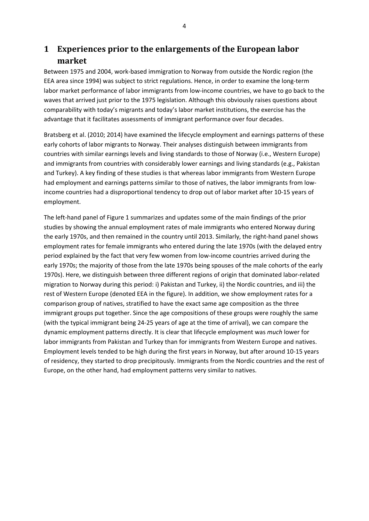# **1 Experiences prior to the enlargements of the European labor market**

Between 1975 and 2004, work‐based immigration to Norway from outside the Nordic region (the EEA area since 1994) was subject to strict regulations. Hence, in order to examine the long‐term labor market performance of labor immigrants from low-income countries, we have to go back to the waves that arrived just prior to the 1975 legislation. Although this obviously raises questions about comparability with today's migrants and today's labor market institutions, the exercise has the advantage that it facilitates assessments of immigrant performance over four decades.

Bratsberg et al. (2010; 2014) have examined the lifecycle employment and earnings patterns of these early cohorts of labor migrants to Norway. Their analyses distinguish between immigrants from countries with similar earnings levels and living standards to those of Norway (i.e., Western Europe) and immigrants from countries with considerably lower earnings and living standards (e.g., Pakistan and Turkey). A key finding of these studies is that whereas labor immigrants from Western Europe had employment and earnings patterns similar to those of natives, the labor immigrants from lowincome countries had a disproportional tendency to drop out of labor market after 10‐15 years of employment.

The left‐hand panel of Figure 1 summarizes and updates some of the main findings of the prior studies by showing the annual employment rates of male immigrants who entered Norway during the early 1970s, and then remained in the country until 2013. Similarly, the right-hand panel shows employment rates for female immigrants who entered during the late 1970s (with the delayed entry period explained by the fact that very few women from low-income countries arrived during the early 1970s; the majority of those from the late 1970s being spouses of the male cohorts of the early 1970s). Here, we distinguish between three different regions of origin that dominated labor‐related migration to Norway during this period: i) Pakistan and Turkey, ii) the Nordic countries, and iii) the rest of Western Europe (denoted EEA in the figure). In addition, we show employment rates for a comparison group of natives, stratified to have the exact same age composition as the three immigrant groups put together. Since the age compositions of these groups were roughly the same (with the typical immigrant being 24‐25 years of age at the time of arrival), we can compare the dynamic employment patterns directly. It is clear that lifecycle employment was *much* lower for labor immigrants from Pakistan and Turkey than for immigrants from Western Europe and natives. Employment levels tended to be high during the first years in Norway, but after around 10‐15 years of residency, they started to drop precipitously. Immigrants from the Nordic countries and the rest of Europe, on the other hand, had employment patterns very similar to natives.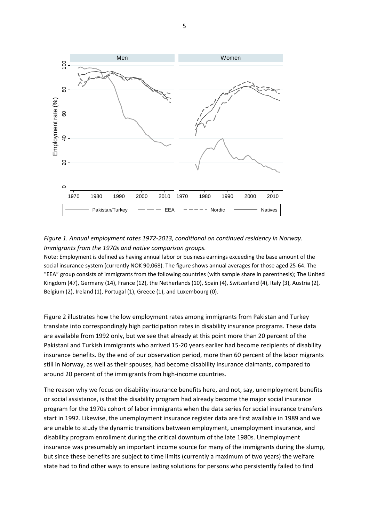

#### *Figure 1. Annual employment rates 1972‐2013, conditional on continued residency in Norway. Immigrants from the 1970s and native comparison groups.*

Note: Employment is defined as having annual labor or business earnings exceeding the base amount of the social insurance system (currently NOK 90,068). The figure shows annual averages for those aged 25‐64. The "EEA" group consists of immigrants from the following countries (with sample share in parenthesis); The United Kingdom (47), Germany (14), France (12), the Netherlands (10), Spain (4), Switzerland (4), Italy (3), Austria (2), Belgium (2), Ireland (1), Portugal (1), Greece (1), and Luxembourg (0).

Figure 2 illustrates how the low employment rates among immigrants from Pakistan and Turkey translate into correspondingly high participation rates in disability insurance programs. These data are available from 1992 only, but we see that already at this point more than 20 percent of the Pakistani and Turkish immigrants who arrived 15‐20 years earlier had become recipients of disability insurance benefits. By the end of our observation period, more than 60 percent of the labor migrants still in Norway, as well as their spouses, had become disability insurance claimants, compared to around 20 percent of the immigrants from high‐income countries.

The reason why we focus on disability insurance benefits here, and not, say, unemployment benefits or social assistance, is that the disability program had already become the major social insurance program for the 1970s cohort of labor immigrants when the data series for social insurance transfers start in 1992. Likewise, the unemployment insurance register data are first available in 1989 and we are unable to study the dynamic transitions between employment, unemployment insurance, and disability program enrollment during the critical downturn of the late 1980s. Unemployment insurance was presumably an important income source for many of the immigrants during the slump, but since these benefits are subject to time limits (currently a maximum of two years) the welfare state had to find other ways to ensure lasting solutions for persons who persistently failed to find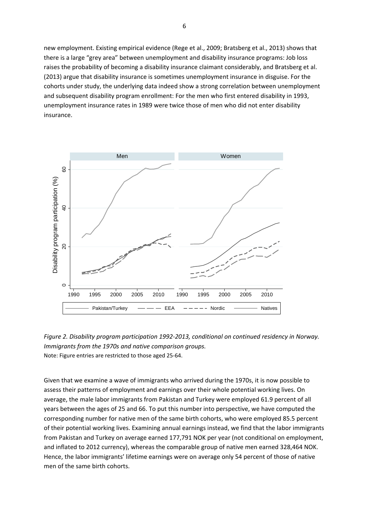new employment. Existing empirical evidence (Rege et al., 2009; Bratsberg et al., 2013) shows that there is a large "grey area" between unemployment and disability insurance programs: Job loss raises the probability of becoming a disability insurance claimant considerably, and Bratsberg et al. (2013) argue that disability insurance is sometimes unemployment insurance in disguise. For the cohorts under study, the underlying data indeed show a strong correlation between unemployment and subsequent disability program enrollment: For the men who first entered disability in 1993, unemployment insurance rates in 1989 were twice those of men who did not enter disability insurance.



*Figure 2. Disability program participation 1992‐2013, conditional on continued residency in Norway. Immigrants from the 1970s and native comparison groups.* Note: Figure entries are restricted to those aged 25‐64.

Given that we examine a wave of immigrants who arrived during the 1970s, it is now possible to assess their patterns of employment and earnings over their whole potential working lives. On average, the male labor immigrants from Pakistan and Turkey were employed 61.9 percent of all years between the ages of 25 and 66. To put this number into perspective, we have computed the corresponding number for native men of the same birth cohorts, who were employed 85.5 percent of their potential working lives. Examining annual earnings instead, we find that the labor immigrants from Pakistan and Turkey on average earned 177,791 NOK per year (not conditional on employment, and inflated to 2012 currency), whereas the comparable group of native men earned 328,464 NOK. Hence, the labor immigrants' lifetime earnings were on average only 54 percent of those of native men of the same birth cohorts.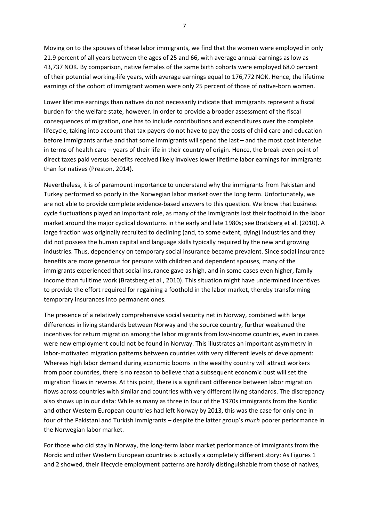Moving on to the spouses of these labor immigrants, we find that the women were employed in only 21.9 percent of all years between the ages of 25 and 66, with average annual earnings as low as 43,737 NOK. By comparison, native females of the same birth cohorts were employed 68.0 percent of their potential working‐life years, with average earnings equal to 176,772 NOK. Hence, the lifetime earnings of the cohort of immigrant women were only 25 percent of those of native-born women.

Lower lifetime earnings than natives do not necessarily indicate that immigrants represent a fiscal burden for the welfare state, however. In order to provide a broader assessment of the fiscal consequences of migration, one has to include contributions and expenditures over the complete lifecycle, taking into account that tax payers do not have to pay the costs of child care and education before immigrants arrive and that some immigrants will spend the last – and the most cost intensive in terms of health care – years of their life in their country of origin. Hence, the break‐even point of direct taxes paid versus benefits received likely involves lower lifetime labor earnings for immigrants than for natives (Preston, 2014).

Nevertheless, it is of paramount importance to understand why the immigrants from Pakistan and Turkey performed so poorly in the Norwegian labor market over the long term. Unfortunately, we are not able to provide complete evidence-based answers to this question. We know that business cycle fluctuations played an important role, as many of the immigrants lost their foothold in the labor market around the major cyclical downturns in the early and late 1980s; see Bratsberg et al. (2010). A large fraction was originally recruited to declining (and, to some extent, dying) industries and they did not possess the human capital and language skills typically required by the new and growing industries. Thus, dependency on temporary social insurance became prevalent. Since social insurance benefits are more generous for persons with children and dependent spouses, many of the immigrants experienced that social insurance gave as high, and in some cases even higher, family income than fulltime work (Bratsberg et al., 2010). This situation might have undermined incentives to provide the effort required for regaining a foothold in the labor market, thereby transforming temporary insurances into permanent ones.

The presence of a relatively comprehensive social security net in Norway, combined with large differences in living standards between Norway and the source country, further weakened the incentives for return migration among the labor migrants from low-income countries, even in cases were new employment could not be found in Norway. This illustrates an important asymmetry in labor-motivated migration patterns between countries with very different levels of development: Whereas high labor demand during economic booms in the wealthy country will attract workers from poor countries, there is no reason to believe that a subsequent economic bust will set the migration flows in reverse. At this point, there is a significant difference between labor migration flows across countries with similar and countries with very different living standards. The discrepancy also shows up in our data: While as many as three in four of the 1970s immigrants from the Nordic and other Western European countries had left Norway by 2013, this was the case for only one in four of the Pakistani and Turkish immigrants – despite the latter group's *much* poorer performance in the Norwegian labor market.

For those who did stay in Norway, the long‐term labor market performance of immigrants from the Nordic and other Western European countries is actually a completely different story: As Figures 1 and 2 showed, their lifecycle employment patterns are hardly distinguishable from those of natives,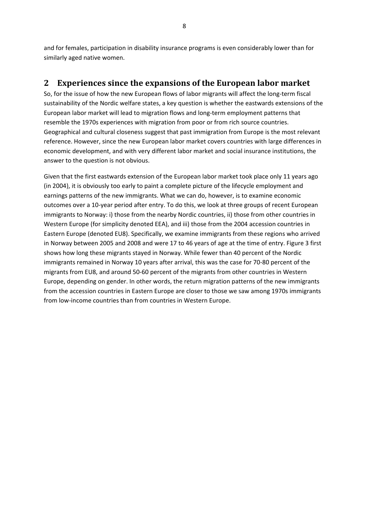and for females, participation in disability insurance programs is even considerably lower than for similarly aged native women.

## **2 Experiences since the expansions of the European labor market**

So, for the issue of how the new European flows of labor migrants will affect the long-term fiscal sustainability of the Nordic welfare states, a key question is whether the eastwards extensions of the European labor market will lead to migration flows and long‐term employment patterns that resemble the 1970s experiences with migration from poor or from rich source countries. Geographical and cultural closeness suggest that past immigration from Europe is the most relevant reference. However, since the new European labor market covers countries with large differences in economic development, and with very different labor market and social insurance institutions, the answer to the question is not obvious.

Given that the first eastwards extension of the European labor market took place only 11 years ago (in 2004), it is obviously too early to paint a complete picture of the lifecycle employment and earnings patterns of the new immigrants. What we can do, however, is to examine economic outcomes over a 10‐year period after entry. To do this, we look at three groups of recent European immigrants to Norway: i) those from the nearby Nordic countries, ii) those from other countries in Western Europe (for simplicity denoted EEA), and iii) those from the 2004 accession countries in Eastern Europe (denoted EU8). Specifically, we examine immigrants from these regions who arrived in Norway between 2005 and 2008 and were 17 to 46 years of age at the time of entry. Figure 3 first shows how long these migrants stayed in Norway. While fewer than 40 percent of the Nordic immigrants remained in Norway 10 years after arrival, this was the case for 70‐80 percent of the migrants from EU8, and around 50‐60 percent of the migrants from other countries in Western Europe, depending on gender. In other words, the return migration patterns of the new immigrants from the accession countries in Eastern Europe are closer to those we saw among 1970s immigrants from low-income countries than from countries in Western Europe.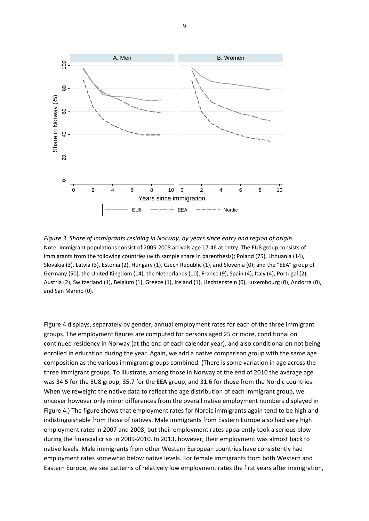

*Figure 3. Share of immigrants residing in Norway, by years since entry and region of origin.*  Note: Immigrant populations consist of 2005‐2008 arrivals age 17‐46 at entry. The EU8 group consists of immigrants from the following countries (with sample share in parenthesis); Poland (75), Lithuania (14), Slovakia (3), Latvia (3), Estonia (2), Hungary (1), Czech Republic (1), and Slovenia (0); and the "EEA" group of Germany (50), the United Kingdom (14), the Netherlands (10), France (9), Spain (4), Italy (4), Portugal (2), Austria (2), Switzerland (1), Belgium (1), Greece (1), Ireland (1), Liechtenstein (0), Luxembourg (0), Andorra (0), and San Marino (0).

Figure 4 displays, separately by gender, annual employment rates for each of the three immigrant groups. The employment figures are computed for persons aged 25 or more, conditional on continued residency in Norway (at the end of each calendar year), and also conditional on not being enrolled in education during the year. Again, we add a native comparison group with the same age composition as the various immigrant groups combined. (There is some variation in age across the three immigrant groups. To illustrate, among those in Norway at the end of 2010 the average age was 34.5 for the EU8 group, 35.7 for the EEA group, and 31.6 for those from the Nordic countries. When we reweight the native data to reflect the age distribution of each immigrant group, we uncover however only minor differences from the overall native employment numbers displayed in Figure 4.) The figure shows that employment rates for Nordic immigrants again tend to be high and indistinguishable from those of natives. Male immigrants from Eastern Europe also had very high employment rates in 2007 and 2008, but their employment rates apparently took a serious blow during the financial crisis in 2009‐2010. In 2013, however, their employment was almost back to native levels. Male immigrants from other Western European countries have consistently had employment rates somewhat below native levels. For female immigrants from both Western and Eastern Europe, we see patterns of relatively low employment rates the first years after immigration,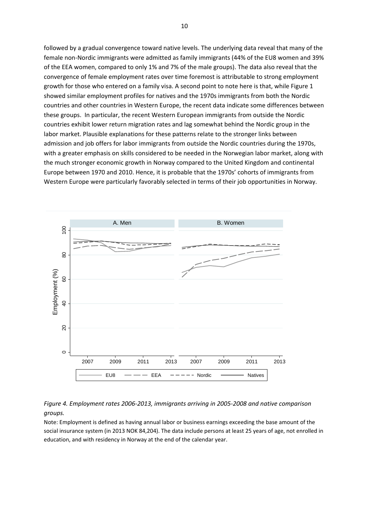followed by a gradual convergence toward native levels. The underlying data reveal that many of the female non‐Nordic immigrants were admitted as family immigrants (44% of the EU8 women and 39% of the EEA women, compared to only 1% and 7% of the male groups). The data also reveal that the convergence of female employment rates over time foremost is attributable to strong employment growth for those who entered on a family visa. A second point to note here is that, while Figure 1 showed similar employment profiles for natives and the 1970s immigrants from both the Nordic countries and other countries in Western Europe, the recent data indicate some differences between these groups. In particular, the recent Western European immigrants from outside the Nordic countries exhibit lower return migration rates and lag somewhat behind the Nordic group in the labor market. Plausible explanations for these patterns relate to the stronger links between admission and job offers for labor immigrants from outside the Nordic countries during the 1970s, with a greater emphasis on skills considered to be needed in the Norwegian labor market, along with the much stronger economic growth in Norway compared to the United Kingdom and continental Europe between 1970 and 2010. Hence, it is probable that the 1970s' cohorts of immigrants from Western Europe were particularly favorably selected in terms of their job opportunities in Norway.



#### *Figure 4. Employment rates 2006‐2013, immigrants arriving in 2005‐2008 and native comparison groups.*

Note: Employment is defined as having annual labor or business earnings exceeding the base amount of the social insurance system (in 2013 NOK 84,204). The data include persons at least 25 years of age, not enrolled in education, and with residency in Norway at the end of the calendar year.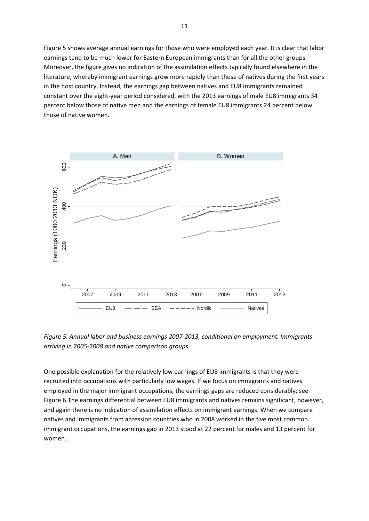Figure 5 shows average annual earnings for those who were employed each year. It is clear that labor earnings tend to be much lower for Eastern European immigrants than for all the other groups. Moreover, the figure gives no indication of the assimilation effects typically found elsewhere in the literature, whereby immigrant earnings grow more rapidly than those of natives during the first years in the host country. Instead, the earnings gap between natives and EU8 immigrants remained constant over the eight-year period considered, with the 2013 earnings of male EU8 immigrants 34 percent below those of native men and the earnings of female EU8 immigrants 24 percent below those of native women.



*Figure 5. Annual labor and business earnings 2007‐2013, conditional on employment. Immigrants arriving in 2005‐2008 and native comparison groups.*

One possible explanation for the relatively low earnings of EU8 immigrants is that they were recruited into occupations with particularly low wages. If we focus on immigrants and natives employed in the major immigrant occupations, the earnings gaps are reduced considerably; see Figure 6.The earnings differential between EU8 immigrants and natives remains significant, however, and again there is no indication of assimilation effects on immigrant earnings. When we compare natives and immigrants from accession countries who in 2008 worked in the five most common immigrant occupations, the earnings gap in 2013 stood at 22 percent for males and 13 percent for women.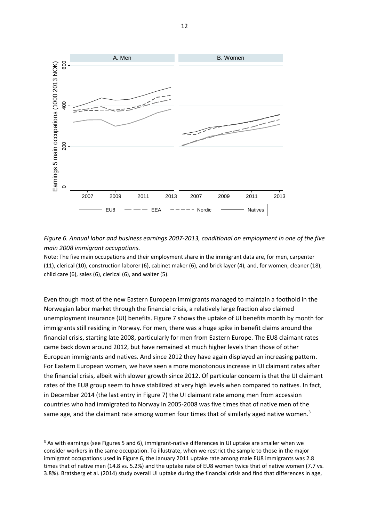

Figure 6. Annual labor and business earnings 2007-2013, conditional on employment in one of the five *main 2008 immigrant occupations.*

Note: The five main occupations and their employment share in the immigrant data are, for men, carpenter (11), clerical (10), construction laborer (6), cabinet maker (6), and brick layer (4), and, for women, cleaner (18), child care (6), sales (6), clerical (6), and waiter (5).

Even though most of the new Eastern European immigrants managed to maintain a foothold in the Norwegian labor market through the financial crisis, a relatively large fraction also claimed unemployment insurance (UI) benefits. Figure 7 shows the uptake of UI benefits month by month for immigrants still residing in Norway. For men, there was a huge spike in benefit claims around the financial crisis, starting late 2008, particularly for men from Eastern Europe. The EU8 claimant rates came back down around 2012, but have remained at much higher levels than those of other European immigrants and natives. And since 2012 they have again displayed an increasing pattern. For Eastern European women, we have seen a more monotonous increase in UI claimant rates after the financial crisis, albeit with slower growth since 2012. Of particular concern is that the UI claimant rates of the EU8 group seem to have stabilized at very high levels when compared to natives. In fact, in December 2014 (the last entry in Figure 7) the UI claimant rate among men from accession countries who had immigrated to Norway in 2005‐2008 was five times that of native men of the same age, and the claimant rate among women four times that of similarly aged native women.<sup>3</sup>

 $3$  As with earnings (see Figures 5 and 6), immigrant-native differences in UI uptake are smaller when we consider workers in the same occupation. To illustrate, when we restrict the sample to those in the major immigrant occupations used in Figure 6, the January 2011 uptake rate among male EU8 immigrants was 2.8 times that of native men (14.8 vs. 5.2%) and the uptake rate of EU8 women twice that of native women (7.7 vs. 3.8%). Bratsberg et al. (2014) study overall UI uptake during the financial crisis and find that differences in age,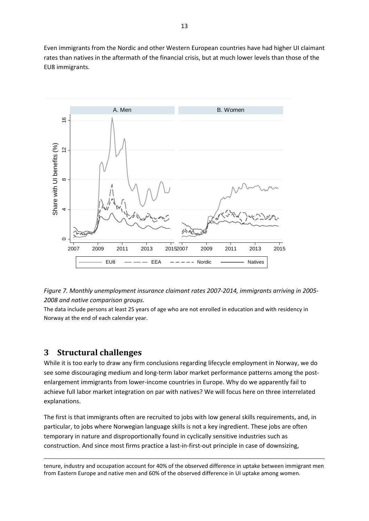Even immigrants from the Nordic and other Western European countries have had higher UI claimant rates than natives in the aftermath of the financial crisis, but at much lower levels than those of the EU8 immigrants.





The data include persons at least 25 years of age who are not enrolled in education and with residency in Norway at the end of each calendar year.

## **3 Structural challenges**

While it is too early to draw any firm conclusions regarding lifecycle employment in Norway, we do see some discouraging medium and long-term labor market performance patterns among the postenlargement immigrants from lower‐income countries in Europe. Why do we apparently fail to achieve full labor market integration on par with natives? We will focus here on three interrelated explanations.

The first is that immigrants often are recruited to jobs with low general skills requirements, and, in particular, to jobs where Norwegian language skills is not a key ingredient. These jobs are often temporary in nature and disproportionally found in cyclically sensitive industries such as construction. And since most firms practice a last-in-first-out principle in case of downsizing,

<u> 1989 - Johann Barbert Barbert Barbert Barbert Barbert Barbert Barbert Barbert Barbert Barbert Barbert Barbert</u> tenure, industry and occupation account for 40% of the observed difference in uptake between immigrant men from Eastern Europe and native men and 60% of the observed difference in UI uptake among women.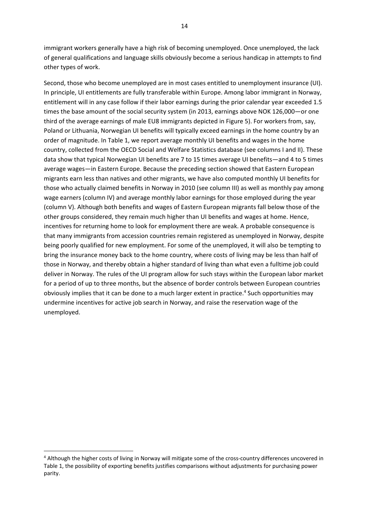immigrant workers generally have a high risk of becoming unemployed. Once unemployed, the lack of general qualifications and language skills obviously become a serious handicap in attempts to find other types of work.

Second, those who become unemployed are in most cases entitled to unemployment insurance (UI). In principle, UI entitlements are fully transferable within Europe. Among labor immigrant in Norway, entitlement will in any case follow if their labor earnings during the prior calendar year exceeded 1.5 times the base amount of the social security system (in 2013, earnings above NOK 126,000—or one third of the average earnings of male EU8 immigrants depicted in Figure 5). For workers from, say, Poland or Lithuania, Norwegian UI benefits will typically exceed earnings in the home country by an order of magnitude. In Table 1, we report average monthly UI benefits and wages in the home country, collected from the OECD Social and Welfare Statistics database (see columns I and II). These data show that typical Norwegian UI benefits are 7 to 15 times average UI benefits—and 4 to 5 times average wages—in Eastern Europe. Because the preceding section showed that Eastern European migrants earn less than natives and other migrants, we have also computed monthly UI benefits for those who actually claimed benefits in Norway in 2010 (see column III) as well as monthly pay among wage earners (column IV) and average monthly labor earnings for those employed during the year (column V). Although both benefits and wages of Eastern European migrants fall below those of the other groups considered, they remain much higher than UI benefits and wages at home. Hence, incentives for returning home to look for employment there are weak. A probable consequence is that many immigrants from accession countries remain registered as unemployed in Norway, despite being poorly qualified for new employment. For some of the unemployed, it will also be tempting to bring the insurance money back to the home country, where costs of living may be less than half of those in Norway, and thereby obtain a higher standard of living than what even a fulltime job could deliver in Norway. The rules of the UI program allow for such stays within the European labor market for a period of up to three months, but the absence of border controls between European countries obviously implies that it can be done to a much larger extent in practice.<sup>4</sup> Such opportunities may undermine incentives for active job search in Norway, and raise the reservation wage of the unemployed.

<sup>4</sup> Although the higher costs of living in Norway will mitigate some of the cross-country differences uncovered in Table 1, the possibility of exporting benefits justifies comparisons without adjustments for purchasing power parity.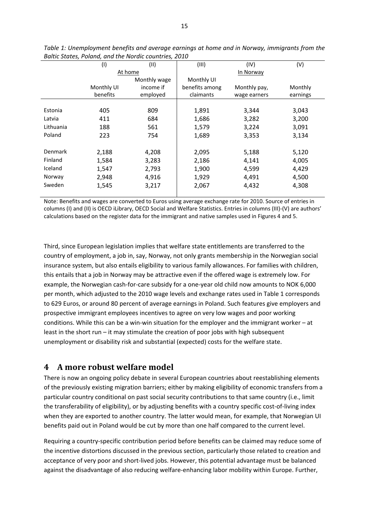|                | (1)        | (11)         | (III)          | (IV)         | (V)      |
|----------------|------------|--------------|----------------|--------------|----------|
|                | At home    |              | In Norway      |              |          |
|                |            | Monthly wage | Monthly UI     |              |          |
|                | Monthly UI | income if    | benefits among | Monthly pay, | Monthly  |
|                | benefits   | employed     | claimants      | wage earners | earnings |
|                |            |              |                |              |          |
| Estonia        | 405        | 809          | 1,891          | 3,344        | 3,043    |
| Latvia         | 411        | 684          | 1,686          | 3,282        | 3,200    |
| Lithuania      | 188        | 561          | 1,579          | 3,224        | 3,091    |
| Poland         | 223        | 754          | 1,689          | 3,353        | 3,134    |
|                |            |              |                |              |          |
| <b>Denmark</b> | 2,188      | 4,208        | 2,095          | 5,188        | 5,120    |
| Finland        | 1,584      | 3,283        | 2,186          | 4,141        | 4,005    |
| Iceland        | 1,547      | 2,793        | 1,900          | 4,599        | 4,429    |
| Norway         | 2,948      | 4,916        | 1,929          | 4,491        | 4,500    |
| Sweden         | 1,545      | 3,217        | 2,067          | 4,432        | 4,308    |
|                |            |              |                |              |          |

*Table 1: Unemployment benefits and average earnings at home and in Norway, immigrants from the Baltic States, Poland, and the Nordic countries, 2010* 

Note: Benefits and wages are converted to Euros using average exchange rate for 2010. Source of entries in columns (I) and (II) is OECD iLibrary, OECD Social and Welfare Statistics. Entries in columns (III)‐(V) are authors' calculations based on the register data for the immigrant and native samples used in Figures 4 and 5.

Third, since European legislation implies that welfare state entitlements are transferred to the country of employment, a job in, say, Norway, not only grants membership in the Norwegian social insurance system, but also entails eligibility to various family allowances. For families with children, this entails that a job in Norway may be attractive even if the offered wage is extremely low. For example, the Norwegian cash-for-care subsidy for a one-year old child now amounts to NOK 6,000 per month, which adjusted to the 2010 wage levels and exchange rates used in Table 1 corresponds to 629 Euros, or around 80 percent of average earnings in Poland. Such features give employers and prospective immigrant employees incentives to agree on very low wages and poor working conditions. While this can be a win-win situation for the employer and the immigrant worker – at least in the short run – it may stimulate the creation of poor jobs with high subsequent unemployment or disability risk and substantial (expected) costs for the welfare state.

#### **4 A more robust welfare model**

There is now an ongoing policy debate in several European countries about reestablishing elements of the previously existing migration barriers; either by making eligibility of economic transfers from a particular country conditional on past social security contributions to that same country (i.e., limit the transferability of eligibility), or by adjusting benefits with a country specific cost-of-living index when they are exported to another country. The latter would mean, for example, that Norwegian UI benefits paid out in Poland would be cut by more than one half compared to the current level.

Requiring a country‐specific contribution period before benefits can be claimed may reduce some of the incentive distortions discussed in the previous section, particularly those related to creation and acceptance of very poor and short‐lived jobs. However, this potential advantage must be balanced against the disadvantage of also reducing welfare‐enhancing labor mobility within Europe. Further,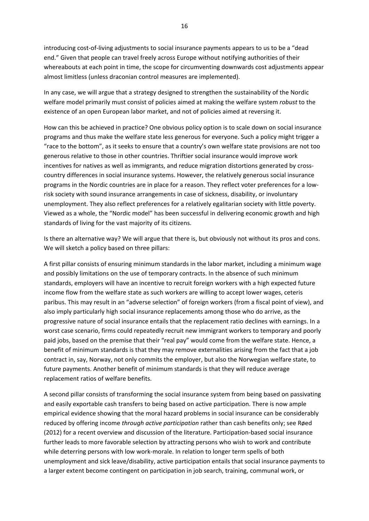introducing cost‐of‐living adjustments to social insurance payments appears to us to be a "dead end." Given that people can travel freely across Europe without notifying authorities of their whereabouts at each point in time, the scope for circumventing downwards cost adjustments appear almost limitless (unless draconian control measures are implemented).

In any case, we will argue that a strategy designed to strengthen the sustainability of the Nordic welfare model primarily must consist of policies aimed at making the welfare system *robust* to the existence of an open European labor market, and not of policies aimed at reversing it.

How can this be achieved in practice? One obvious policy option is to scale down on social insurance programs and thus make the welfare state less generous for everyone. Such a policy might trigger a "race to the bottom", as it seeks to ensure that a country's own welfare state provisions are not too generous relative to those in other countries. Thriftier social insurance would improve work incentives for natives as well as immigrants, and reduce migration distortions generated by crosscountry differences in social insurance systems. However, the relatively generous social insurance programs in the Nordic countries are in place for a reason. They reflect voter preferences for a low‐ risk society with sound insurance arrangements in case of sickness, disability, or involuntary unemployment. They also reflect preferences for a relatively egalitarian society with little poverty. Viewed as a whole, the "Nordic model" has been successful in delivering economic growth and high standards of living for the vast majority of its citizens.

Is there an alternative way? We will argue that there is, but obviously not without its pros and cons. We will sketch a policy based on three pillars:

A first pillar consists of ensuring minimum standards in the labor market, including a minimum wage and possibly limitations on the use of temporary contracts. In the absence of such minimum standards, employers will have an incentive to recruit foreign workers with a high expected future income flow from the welfare state as such workers are willing to accept lower wages, ceteris paribus. This may result in an "adverse selection" of foreign workers (from a fiscal point of view), and also imply particularly high social insurance replacements among those who do arrive, as the progressive nature of social insurance entails that the replacement ratio declines with earnings. In a worst case scenario, firms could repeatedly recruit new immigrant workers to temporary and poorly paid jobs, based on the premise that their "real pay" would come from the welfare state. Hence, a benefit of minimum standards is that they may remove externalities arising from the fact that a job contract in, say, Norway, not only commits the employer, but also the Norwegian welfare state, to future payments. Another benefit of minimum standards is that they will reduce average replacement ratios of welfare benefits.

A second pillar consists of transforming the social insurance system from being based on passivating and easily exportable cash transfers to being based on active participation. There is now ample empirical evidence showing that the moral hazard problems in social insurance can be considerably reduced by offering income *through active participation* rather than cash benefits only; see Røed (2012) for a recent overview and discussion of the literature. Participation‐based social insurance further leads to more favorable selection by attracting persons who wish to work and contribute while deterring persons with low work-morale. In relation to longer term spells of both unemployment and sick leave/disability, active participation entails that social insurance payments to a larger extent become contingent on participation in job search, training, communal work, or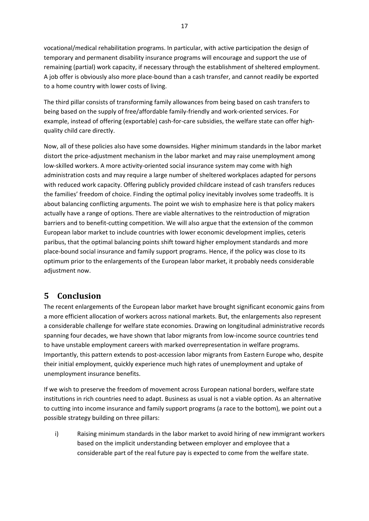vocational/medical rehabilitation programs. In particular, with active participation the design of temporary and permanent disability insurance programs will encourage and support the use of remaining (partial) work capacity, if necessary through the establishment of sheltered employment. A job offer is obviously also more place‐bound than a cash transfer, and cannot readily be exported to a home country with lower costs of living.

The third pillar consists of transforming family allowances from being based on cash transfers to being based on the supply of free/affordable family‐friendly and work‐oriented services. For example, instead of offering (exportable) cash-for-care subsidies, the welfare state can offer highquality child care directly.

Now, all of these policies also have some downsides. Higher minimum standards in the labor market distort the price‐adjustment mechanism in the labor market and may raise unemployment among low‐skilled workers. A more activity‐oriented social insurance system may come with high administration costs and may require a large number of sheltered workplaces adapted for persons with reduced work capacity. Offering publicly provided childcare instead of cash transfers reduces the families' freedom of choice. Finding the optimal policy inevitably involves some tradeoffs. It is about balancing conflicting arguments. The point we wish to emphasize here is that policy makers actually have a range of options. There are viable alternatives to the reintroduction of migration barriers and to benefit-cutting competition. We will also argue that the extension of the common European labor market to include countries with lower economic development implies, ceteris paribus, that the optimal balancing points shift toward higher employment standards and more place‐bound social insurance and family support programs. Hence, if the policy was close to its optimum prior to the enlargements of the European labor market, it probably needs considerable adjustment now.

## **5 Conclusion**

The recent enlargements of the European labor market have brought significant economic gains from a more efficient allocation of workers across national markets. But, the enlargements also represent a considerable challenge for welfare state economies. Drawing on longitudinal administrative records spanning four decades, we have shown that labor migrants from low-income source countries tend to have unstable employment careers with marked overrepresentation in welfare programs. Importantly, this pattern extends to post‐accession labor migrants from Eastern Europe who, despite their initial employment, quickly experience much high rates of unemployment and uptake of unemployment insurance benefits.

If we wish to preserve the freedom of movement across European national borders, welfare state institutions in rich countries need to adapt. Business as usual is not a viable option. As an alternative to cutting into income insurance and family support programs (a race to the bottom), we point out a possible strategy building on three pillars:

i) Raising minimum standards in the labor market to avoid hiring of new immigrant workers based on the implicit understanding between employer and employee that a considerable part of the real future pay is expected to come from the welfare state.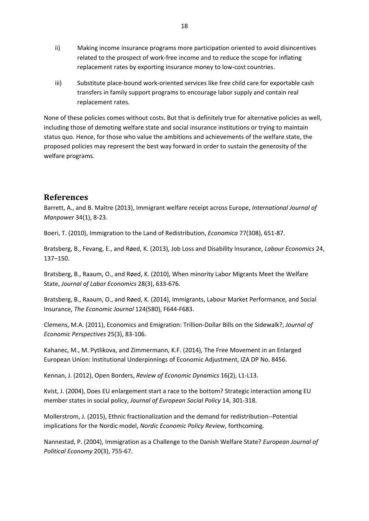- ii) Making income insurance programs more participation oriented to avoid disincentives related to the prospect of work‐free income and to reduce the scope for inflating replacement rates by exporting insurance money to low‐cost countries.
- iii) Substitute place‐bound work‐oriented services like free child care for exportable cash transfers in family support programs to encourage labor supply and contain real replacement rates.

None of these policies comes without costs. But that is definitely true for alternative policies as well, including those of demoting welfare state and social insurance institutions or trying to maintain status quo. Hence, for those who value the ambitions and achievements of the welfare state, the proposed policies may represent the best way forward in order to sustain the generosity of the welfare programs.

#### **References**

Barrett, A., and B. Maître (2013), Immigrant welfare receipt across Europe, *International Journal of Manpower* 34(1), 8‐23.

Boeri, T. (2010), Immigration to the Land of Redistribution, *Economica* 77(308), 651‐87.

Bratsberg, B., Fevang, E., and Røed, K. (2013), Job Loss and Disability Insurance, *Labour Economics* 24, 137–150.

Bratsberg, B., Raaum, O., and Røed, K. (2010), When minority Labor Migrants Meet the Welfare State, *Journal of Labor Economics* 28(3), 633‐676.

Bratsberg, B., Raaum, O., and Røed, K. (2014), Immigrants, Labour Market Performance, and Social Insurance, *The Economic Journal* 124(580), F644‐F683.

Clemens, M.A. (2011), Economics and Emigration: Trillion‐Dollar Bills on the Sidewalk?, *Journal of Economic Perspectives* 25(3), 83‐106.

Kahanec, M., M. Pytlikova, and Zimmermann, K.F. (2014), The Free Movement in an Enlarged European Union: Institutional Underpinnings of Economic Adjustment, IZA DP No. 8456.

Kennan, J. (2012), Open Borders, *Review of Economic Dynamics* 16(2), L1‐L13.

Kvist, J. (2004), Does EU enlargement start a race to the bottom? Strategic interaction among EU member states in social policy, *Journal of European Social Policy* 14, 301‐318.

Mollerstrom, J. (2015), Ethnic fractionalization and the demand for redistribution‐‐Potential implications for the Nordic model, *Nordic Economic Policy Review*, forthcoming.

Nannestad, P. (2004), Immigration as a Challenge to the Danish Welfare State? *European Journal of Political Economy* 20(3), 755‐67.